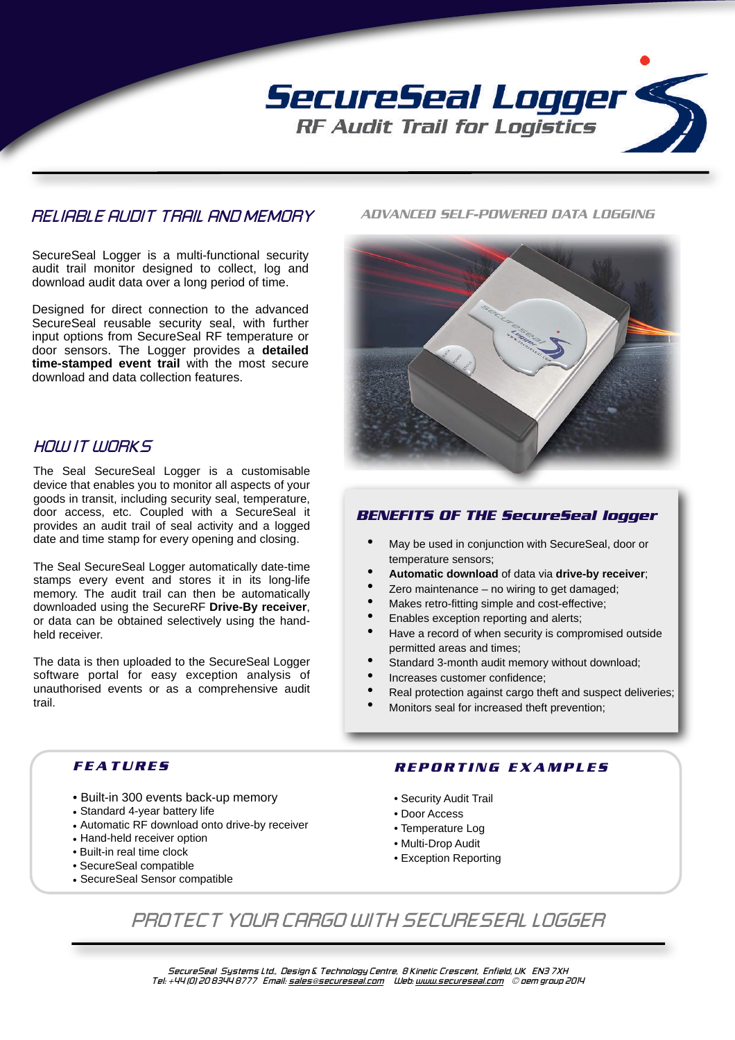

## *RELIABLE AUDIT TRAIL AND MEMORY*

SecureSeal Logger is a multi-functional security audit trail monitor designed to collect, log and download audit data over a long period of time.

Designed for direct connection to the advanced SecureSeal reusable security seal, with further input options from SecureSeal RF temperature or door sensors. The Logger provides a **detailed time-stamped event trail** with the most secure download and data collection features.

## *HOW IT WORKS*

The Seal SecureSeal Logger is a customisable device that enables you to monitor all aspects of your goods in transit, including security seal, temperature, door access, etc. Coupled with a SecureSeal it provides an audit trail of seal activity and a logged date and time stamp for every opening and closing.

The Seal SecureSeal Logger automatically date-time stamps every event and stores it in its long-life memory. The audit trail can then be automatically downloaded using the SecureRF **Drive-By receiver**, or data can be obtained selectively using the handheld receiver.

The data is then uploaded to the SecureSeal Logger software portal for easy exception analysis of unauthorised events or as a comprehensive audit trail.

#### *ADVANCED SELF-POWERED DATA LOGGING*



## *BENEFITS OF THE SecureSeal logger*

- May be used in conjunction with SecureSeal, door or temperature sensors;
- **Automatic download** of data via **drive-by receiver**;
- Zero maintenance  $-$  no wiring to get damaged;
- Makes retro-fitting simple and cost-effective:
- Enables exception reporting and alerts;
- Have a record of when security is compromised outside permitted areas and times;
- Standard 3-month audit memory without download;
- Increases customer confidence;
- Real protection against cargo theft and suspect deliveries;
- Monitors seal for increased theft prevention;

## *FEATURES*

- Built-in 300 events back-up memory
- Standard 4-year battery life
- Automatic RF download onto drive-by receiver
- Hand-held receiver option
- Built-in real time clock
- SecureSeal compatible
- SecureSeal Sensor compatible

#### *REPORTING EXAMPLES*

- Security Audit Trail
- Door Access
- Temperature Log
- Multi-Drop Audit
- Exception Reporting

# *PROTECT YOUR CARGO WITH SECURESEAL LOGGER*